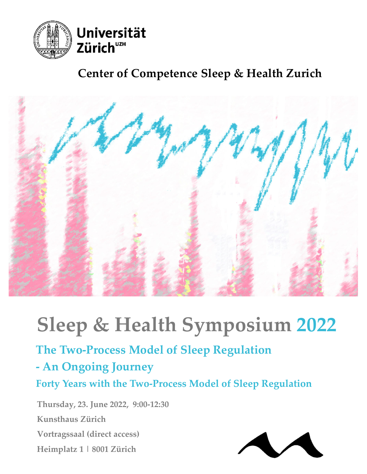

### **Center of Competence Sleep & Health Zurich**



# **Sleep & Health Symposium 2022**

## **The Two‐Process Model of Sleep Regulation**

#### **‐ An Ongoing Journey**

**Forty Years with the Two‐Process Model of Sleep Regulation**

**Thursday, 23. June 2022, 9:00‐12:30 Kunsthaus Zürich Vortragssaal (direct access) Heimplatz 1 | 8001 Zürich**